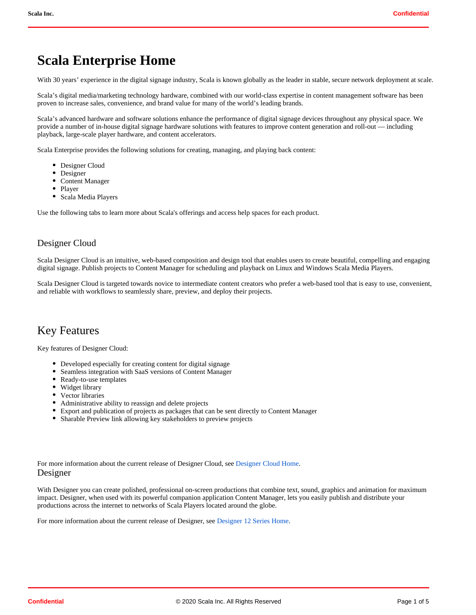# **Scala Enterprise Home**

With 30 years' experience in the digital signage industry, Scala is known globally as the leader in stable, secure network deployment at scale.

Scala's digital media/marketing technology hardware, combined with our world-class expertise in content management software has been proven to increase sales, convenience, and brand value for many of the world's leading brands.

Scala's advanced hardware and software solutions enhance the performance of digital signage devices throughout any physical space. We provide a number of in-house digital signage hardware solutions with features to improve content generation and roll-out — including playback, large-scale player hardware, and content accelerators.

Scala Enterprise provides the following solutions for creating, managing, and playing back content:

- Designer Cloud
- Designer
- Content Manager
- Player
- Scala Media Players

Use the following tabs to learn more about Scala's offerings and access help spaces for each product.

## Designer Cloud

Scala Designer Cloud is an intuitive, web-based composition and design tool that enables users to create beautiful, compelling and engaging digital signage. Publish projects to Content Manager for scheduling and playback on Linux and Windows Scala Media Players.

Scala Designer Cloud is targeted towards novice to intermediate content creators who prefer a web-based tool that is easy to use, convenient, and reliable with workflows to seamlessly share, preview, and deploy their projects.

# Key Features

Key features of Designer Cloud:

- Developed especially for creating content for digital signage
- Seamless integration with SaaS versions of Content Manager
- Ready-to-use templates
- Widget library
- Vector libraries
- Administrative ability to reassign and delete projects
- Export and publication of projects as packages that can be sent directly to Content Manager
- Sharable Preview link allowing key stakeholders to preview projects

For more information about the current release of Designer Cloud, see [Designer Cloud Home](https://docs.scala.com/pages/viewpage.action?pageId=94044466). Designer

With Designer you can create polished, professional on-screen productions that combine text, sound, graphics and animation for maximum impact. Designer, when used with its powerful companion application Content Manager, lets you easily publish and distribute your productions across the internet to networks of Scala Players located around the globe.

For more information about the current release of Designer, see [Designer 12 Series Home](https://docs.scala.com/pages/viewpage.action?pageId=77988249).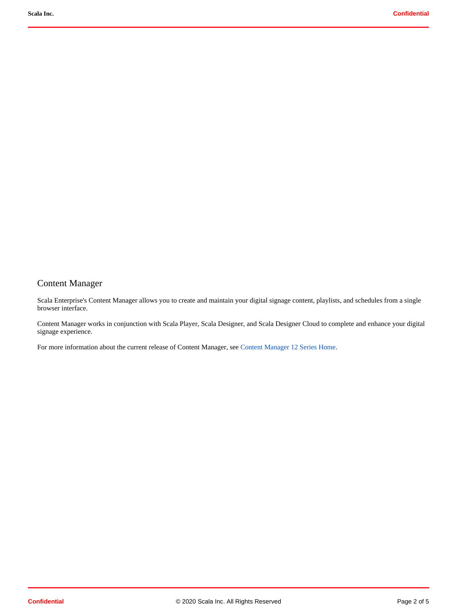# Content Manager

Scala Enterprise's Content Manager allows you to create and maintain your digital signage content, playlists, and schedules from a single browser interface.

Content Manager works in conjunction with Scala Player, Scala Designer, and Scala Designer Cloud to complete and enhance your digital signage experience.

For more information about the current release of Content Manager, see [Content Manager 12 Series Home.](https://docs.scala.com/pages/viewpage.action?pageId=77988243)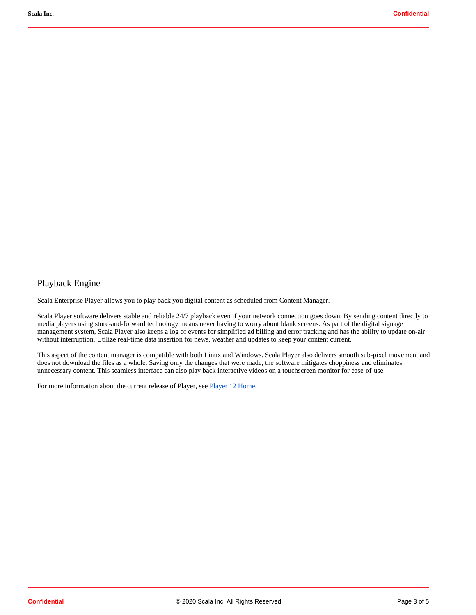## Playback Engine

Scala Enterprise Player allows you to play back you digital content as scheduled from Content Manager.

Scala Player software delivers stable and reliable 24/7 playback even if your network connection goes down. By sending content directly to media players using store-and-forward technology means never having to worry about blank screens. As part of the digital signage management system, Scala Player also keeps a log of events for simplified ad billing and error tracking and has the ability to update on-air without interruption. Utilize real-time data insertion for news, weather and updates to keep your content current.

This aspect of the content manager is compatible with both Linux and Windows. Scala Player also delivers smooth sub-pixel movement and does not download the files as a whole. Saving only the changes that were made, the software mitigates choppiness and eliminates unnecessary content. This seamless interface can also play back interactive videos on a touchscreen monitor for ease-of-use.

For more information about the current release of Player, see [Player 12 Home](https://docs.scala.com/pages/viewpage.action?pageId=77988246).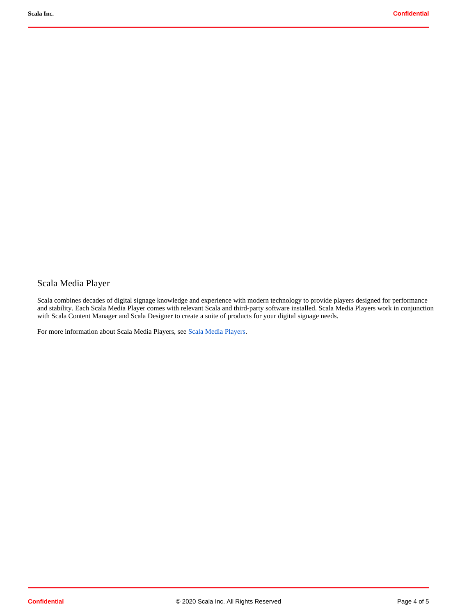# Scala Media Player

Scala combines decades of digital signage knowledge and experience with modern technology to provide players designed for performance and stability. Each Scala Media Player comes with relevant Scala and third-party software installed. Scala Media Players work in conjunction with Scala Content Manager and Scala Designer to create a suite of products for your digital signage needs.

For more information about Scala Media Players, see [Scala Media Players.](https://docs.scala.com/pages/viewpage.action?pageId=58855613)